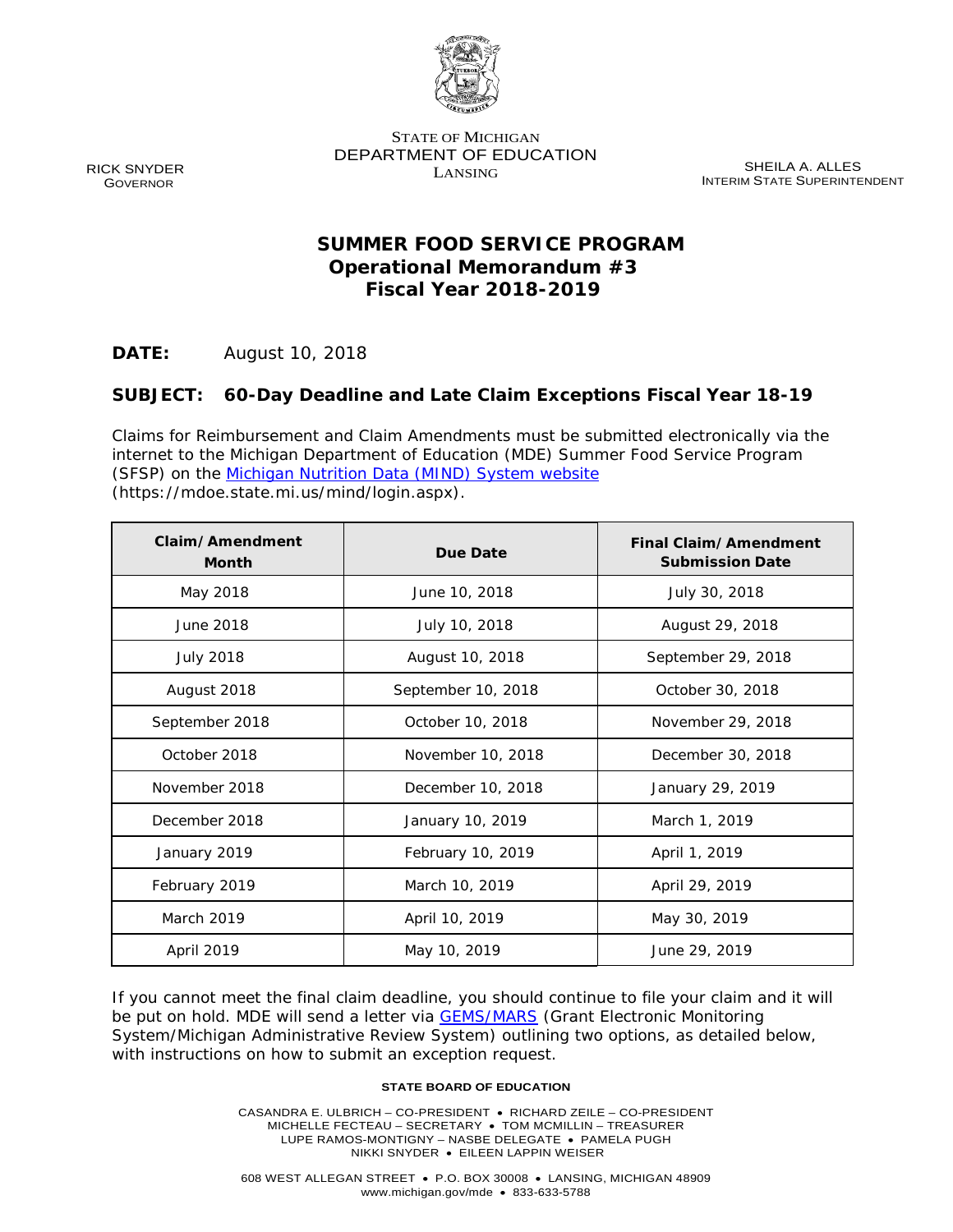

STATE OF MICHIGAN DEPARTMENT OF EDUCATION

LANSING SHEILA A. ALLES INTERIM STATE SUPERINTENDENT

# **SUMMER FOOD SERVICE PROGRAM Operational Memorandum #3 Fiscal Year 2018-2019**

**DATE:** August 10, 2018

# **SUBJECT: 60-Day Deadline and Late Claim Exceptions Fiscal Year 18-19**

Claims for Reimbursement and Claim Amendments must be submitted electronically via the internet to the Michigan Department of Education (MDE) Summer Food Service Program (SFSP) on the Michigan Nutrition Data (MIND) System website (https://mdoe.state.mi.us/mind/login.aspx).

| Claim/Amendment<br><b>Month</b> | Due Date           | Final Claim/Amendment<br><b>Submission Date</b> |
|---------------------------------|--------------------|-------------------------------------------------|
| May 2018                        | June 10, 2018      | July 30, 2018                                   |
| June 2018                       | July 10, 2018      | August 29, 2018                                 |
| <b>July 2018</b>                | August 10, 2018    | September 29, 2018                              |
| August 2018                     | September 10, 2018 | October 30, 2018                                |
| September 2018                  | October 10, 2018   | November 29, 2018                               |
| October 2018                    | November 10, 2018  | December 30, 2018                               |
| November 2018                   | December 10, 2018  | January 29, 2019                                |
| December 2018                   | January 10, 2019   | March 1, 2019                                   |
| January 2019                    | February 10, 2019  | April 1, 2019                                   |
| February 2019                   | March 10, 2019     | April 29, 2019                                  |
| March 2019                      | April 10, 2019     | May 30, 2019                                    |
| April 2019                      | May 10, 2019       | June 29, 2019                                   |

If you cannot meet the final claim deadline, you should continue to file your claim and it will be put on hold. MDE will send a letter via **GEMS/MARS** (Grant Electronic Monitoring System/Michigan Administrative Review System) outlining two options, as detailed below, with instructions on how to submit an exception request.

#### **STATE BOARD OF EDUCATION**

CASANDRA E. ULBRICH – CO-PRESIDENT • RICHARD ZEILE – CO-PRESIDENT MICHELLE FECTEAU – SECRETARY • TOM MCMILLIN – TREASURER LUPE RAMOS-MONTIGNY – NASBE DELEGATE • PAMELA PUGH NIKKI SNYDER • EILEEN LAPPIN WEISER

RICK SNYDER **GOVERNOR**